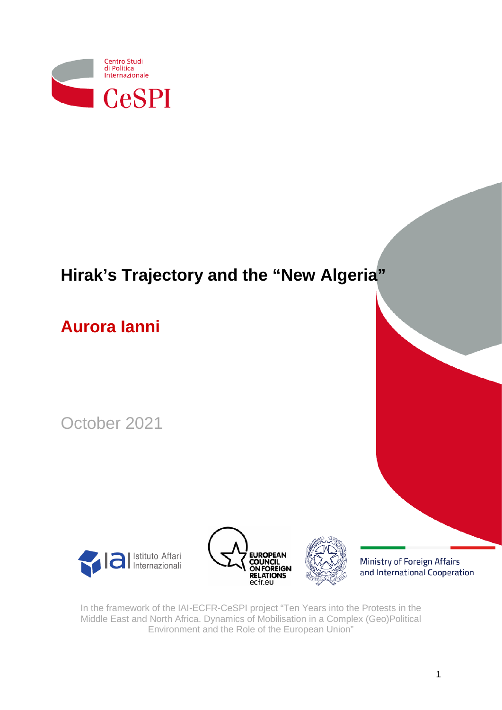

# **Hirak's Trajectory and the "New Algeria"**

## **Aurora Ianni**

October 2021

<span id="page-0-0"></span>





Ministry of Foreign Affairs and International Cooperation

In the framework of the IAI-ECFR-CeSPI project "Ten Years into the Protests in the Middle East and North Africa. Dynamics of Mobilisation in a Complex (Geo)Political Environment and the Role of the European Union"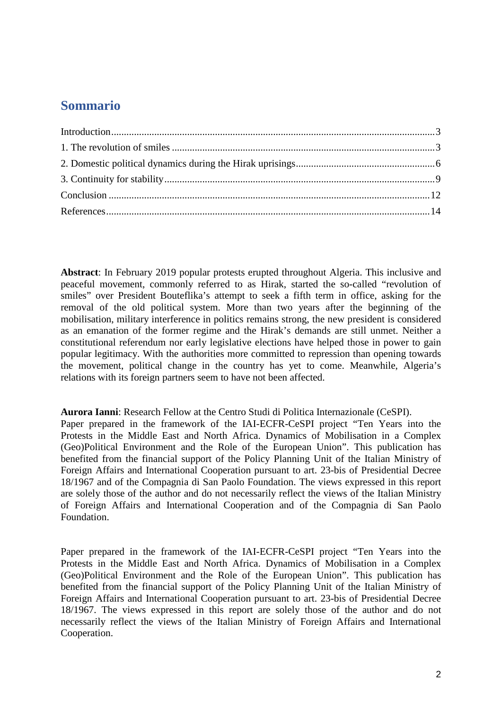## **Sommario**

**Abstract**: In February 2019 popular protests erupted throughout Algeria. This inclusive and peaceful movement, commonly referred to as Hirak, started the so-called "revolution of smiles" over President Bouteflika's attempt to seek a fifth term in office, asking for the removal of the old political system. More than two years after the beginning of the mobilisation, military interference in politics remains strong, the new president is considered as an emanation of the former regime and the Hirak's demands are still unmet. Neither a constitutional referendum nor early legislative elections have helped those in power to gain popular legitimacy. With the authorities more committed to repression than opening towards the movement, political change in the country has yet to come. Meanwhile, Algeria's relations with its foreign partners seem to have not been affected.

**Aurora Ianni**: Research Fellow at the Centro Studi di Politica Internazionale (CeSPI). Paper prepared in the framework of the IAI-ECFR-CeSPI project "Ten Years into the Protests in the Middle East and North Africa. Dynamics of Mobilisation in a Complex (Geo)Political Environment and the Role of the European Union". This publication has benefited from the financial support of the Policy Planning Unit of the Italian Ministry of Foreign Affairs and International Cooperation pursuant to art. 23-bis of Presidential Decree 18/1967 and of the Compagnia di San Paolo Foundation. The views expressed in this report are solely those of the author and do not necessarily reflect the views of the Italian Ministry of Foreign Affairs and International Cooperation and of the Compagnia di San Paolo Foundation.

Paper prepared in the framework of the IAI-ECFR-CeSPI project "Ten Years into the Protests in the Middle East and North Africa. Dynamics of Mobilisation in a Complex (Geo)Political Environment and the Role of the European Union". This publication has benefited from the financial support of the Policy Planning Unit of the Italian Ministry of Foreign Affairs and International Cooperation pursuant to art. 23-bis of Presidential Decree 18/1967. The views expressed in this report are solely those of the author and do not necessarily reflect the views of the Italian Ministry of Foreign Affairs and International Cooperation.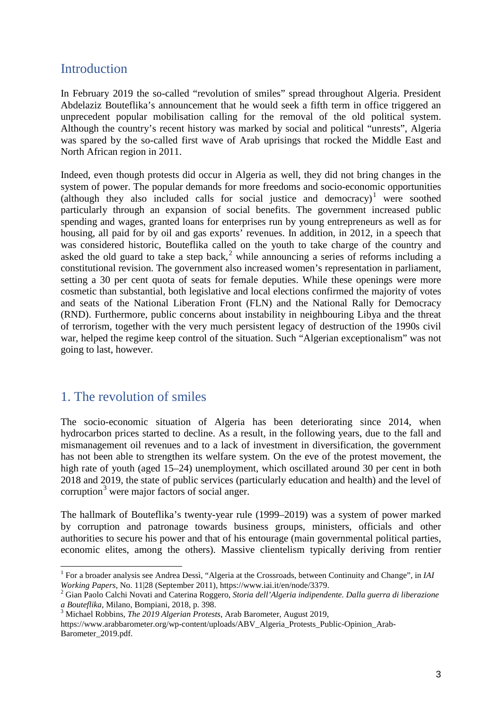#### <span id="page-2-0"></span>Introduction

In February 2019 the so-called "revolution of smiles" spread throughout Algeria. President Abdelaziz Bouteflika's announcement that he would seek a fifth term in office triggered an unprecedent popular mobilisation calling for the removal of the old political system. Although the country's recent history was marked by social and political "unrests", Algeria was spared by the so-called first wave of Arab uprisings that rocked the Middle East and North African region in 2011.

Indeed, even though protests did occur in Algeria as well, they did not bring changes in the system of power. The popular demands for more freedoms and socio-economic opportunities (although they also included calls for social justice and democracy) [1](#page-0-0) were soothed particularly through an expansion of social benefits. The government increased public spending and wages, granted loans for enterprises run by young entrepreneurs as well as for housing, all paid for by oil and gas exports' revenues. In addition, in 2012, in a speech that was considered historic, Bouteflika called on the youth to take charge of the country and asked the old guard to take a step back,<sup>[2](#page-2-2)</sup> while announcing a series of reforms including a constitutional revision. The government also increased women's representation in parliament, setting a 30 per cent quota of seats for female deputies. While these openings were more cosmetic than substantial, both legislative and local elections confirmed the majority of votes and seats of the National Liberation Front (FLN) and the National Rally for Democracy (RND). Furthermore, public concerns about instability in neighbouring Libya and the threat of terrorism, together with the very much persistent legacy of destruction of the 1990s civil war, helped the regime keep control of the situation. Such "Algerian exceptionalism" was not going to last, however.

## <span id="page-2-1"></span>1. The revolution of smiles

The socio-economic situation of Algeria has been deteriorating since 2014, when hydrocarbon prices started to decline. As a result, in the following years, due to the fall and mismanagement oil revenues and to a lack of investment in diversification, the government has not been able to strengthen its welfare system. On the eve of the protest movement, the high rate of youth (aged 15–24) unemployment, which oscillated around 30 per cent in both 2018 and 2019, the state of public services (particularly education and health) and the level of corruption<sup>[3](#page-2-3)</sup> were major factors of social anger.

<span id="page-2-4"></span>The hallmark of Bouteflika's twenty-year rule (1999–2019) was a system of power marked by corruption and patronage towards business groups, ministers, officials and other authorities to secure his power and that of his entourage (main governmental political parties, economic elites, among the others). Massive clientelism typically deriving from rentier

<sup>1</sup> For a broader analysis see Andrea Dessì, "Algeria at the Crossroads, between Continuity and Change", in *IAI* 

<span id="page-2-2"></span>*Working Papers*, No. 11|28 (September 2011), https://www.iai.it/en/node/3379.<br><sup>2</sup> Gian Paolo Calchi Novati and Caterina Roggero, *Storia dell'Algeria indipendente. Dalla guerra di liberazione a Bouteflika, Milano, Bompian* 

<sup>&</sup>lt;sup>3</sup> Michael Robbins, *The 2019 Algerian Protests*, Arab Barometer, August 2019,

<span id="page-2-3"></span>https://www.arabbarometer.org/wp-content/uploads/ABV\_Algeria\_Protests\_Public-Opinion\_Arab-Barometer\_2019.pdf.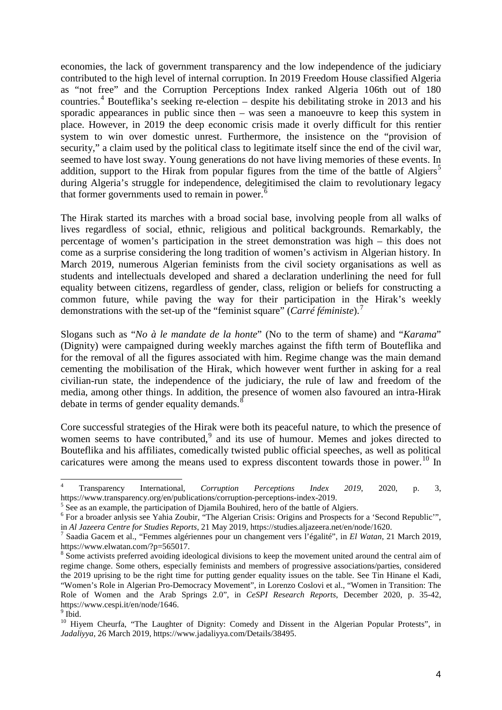economies, the lack of government transparency and the low independence of the judiciary contributed to the high level of internal corruption. In 2019 Freedom House classified Algeria as "not free" and the Corruption Perceptions Index ranked Algeria 106th out of 180 countries.[4](#page-2-4) Bouteflika's seeking re-election – despite his debilitating stroke in 2013 and his sporadic appearances in public since then – was seen a manoeuvre to keep this system in place. However, in 2019 the deep economic crisis made it overly difficult for this rentier system to win over domestic unrest. Furthermore, the insistence on the "provision of security," a claim used by the political class to legitimate itself since the end of the civil war, seemed to have lost sway. Young generations do not have living memories of these events. In addition, support to the Hirak from popular figures from the time of the battle of Algiers<sup>[5](#page-3-0)</sup> during Algeria's struggle for independence, delegitimised the claim to revolutionary legacy that former governments used to remain in power.<sup>[6](#page-3-1)</sup>

The Hirak started its marches with a broad social base, involving people from all walks of lives regardless of social, ethnic, religious and political backgrounds. Remarkably, the percentage of women's participation in the street demonstration was high – this does not come as a surprise considering the long tradition of women's activism in Algerian history. In March 2019, numerous Algerian feminists from the civil society organisations as well as students and intellectuals developed and shared a declaration underlining the need for full equality between citizens, regardless of gender, class, religion or beliefs for constructing a common future, while paving the way for their participation in the Hirak's weekly demonstrations with the set-up of the "feminist square" (*Carré féministe*).[7](#page-3-2)

Slogans such as "*No à le mandate de la honte*" (No to the term of shame) and "*Karama*" (Dignity) were campaigned during weekly marches against the fifth term of Bouteflika and for the removal of all the figures associated with him. Regime change was the main demand cementing the mobilisation of the Hirak, which however went further in asking for a real civilian-run state, the independence of the judiciary, the rule of law and freedom of the media, among other things. In addition, the presence of women also favoured an intra-Hirak debate in terms of gender equality demands.<sup>[8](#page-3-3)</sup>

Core successful strategies of the Hirak were both its peaceful nature, to which the presence of women seems to have contributed,<sup>[9](#page-3-4)</sup> and its use of humour. Memes and jokes directed to Bouteflika and his affiliates, comedically twisted public official speeches, as well as political caricatures were among the means used to express discontent towards those in power.<sup>[10](#page-3-5)</sup> In

<sup>4</sup> Transparency International, *Corruption Perceptions Index 2019*, 2020, p. 3, https://www.transparency.org/en/publications/corruption-perceptions-index-2019.<br><sup>5</sup> See as an example, the participation of Djamila Bouhired, hero of the battle of Algiers.

<span id="page-3-0"></span>

<span id="page-3-1"></span><sup>&</sup>lt;sup>6</sup> For a broader anlysis see Yahia Zoubir, "The Algerian Crisis: Origins and Prospects for a 'Second Republic'", in Al Jazeera Centre for Studies Reports, 21 May 2019, https://studies.aljazeera.net/en/node/1620.

<span id="page-3-2"></span><sup>&</sup>lt;sup>7</sup> Saadia Gacem et al., "Femmes algériennes pour un changement vers l'égalité", in *El Watan*, 21 March 2019, https://www.elwatan.com/?p=565017.<br><sup>8</sup> Some activists preferred avoiding ideological divisions to keep the movement united around the central aim of

<span id="page-3-6"></span><span id="page-3-3"></span>regime change. Some others, especially feminists and members of progressive associations/parties, considered the 2019 uprising to be the right time for putting gender equality issues on the table. See Tin Hinane el Kadi, "Women's Role in Algerian Pro-Democracy Movement", in Lorenzo Coslovi et al., "Women in Transition: The Role of Women and the Arab Springs 2.0", in *CeSPI Research Reports*, December 2020, p. 35-42, https://www.cespi.it/en/node/1646.

<span id="page-3-4"></span> $9$  Ibid.

<span id="page-3-5"></span><sup>&</sup>lt;sup>10</sup> Hivem Cheurfa, "The Laughter of Dignity: Comedy and Dissent in the Algerian Popular Protests", in *Jadaliyya*, 26 March 2019, https://www.jadaliyya.com/Details/38495.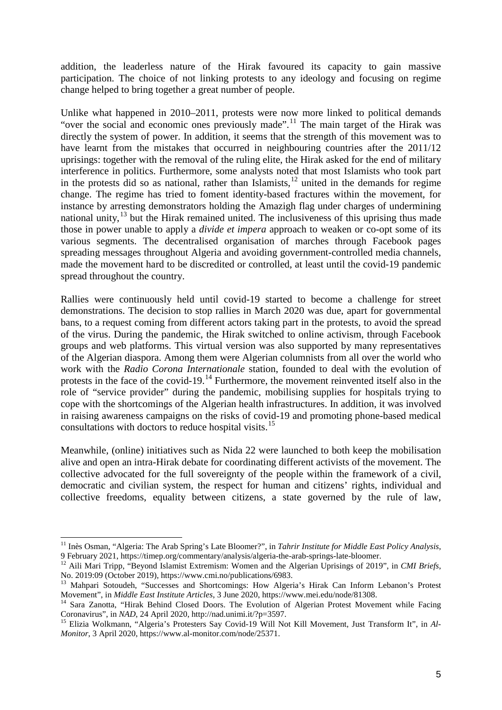addition, the leaderless nature of the Hirak favoured its capacity to gain massive participation. The choice of not linking protests to any ideology and focusing on regime change helped to bring together a great number of people.

Unlike what happened in 2010–2011, protests were now more linked to political demands "over the social and economic ones previously made".<sup>[11](#page-3-6)</sup> The main target of the Hirak was directly the system of power. In addition, it seems that the strength of this movement was to have learnt from the mistakes that occurred in neighbouring countries after the 2011/12 uprisings: together with the removal of the ruling elite, the Hirak asked for the end of military interference in politics. Furthermore, some analysts noted that most Islamists who took part in the protests did so as national, rather than Islamists,  $12$  united in the demands for regime change. The regime has tried to foment identity-based fractures within the movement, for instance by arresting demonstrators holding the Amazigh flag under charges of undermining national unity,<sup>[13](#page-4-1)</sup> but the Hirak remained united. The inclusiveness of this uprising thus made those in power unable to apply a *divide et impera* approach to weaken or co-opt some of its various segments. The decentralised organisation of marches through Facebook pages spreading messages throughout Algeria and avoiding government-controlled media channels, made the movement hard to be discredited or controlled, at least until the covid-19 pandemic spread throughout the country.

Rallies were continuously held until covid-19 started to become a challenge for street demonstrations. The decision to stop rallies in March 2020 was due, apart for governmental bans, to a request coming from different actors taking part in the protests, to avoid the spread of the virus. During the pandemic, the Hirak switched to online activism, through Facebook groups and web platforms. This virtual version was also supported by many representatives of the Algerian diaspora. Among them were Algerian columnists from all over the world who work with the *Radio Corona Internationale* station, founded to deal with the evolution of protests in the face of the covid-19.<sup>[14](#page-4-2)</sup> Furthermore, the movement reinvented itself also in the role of "service provider" during the pandemic, mobilising supplies for hospitals trying to cope with the shortcomings of the Algerian health infrastructures. In addition, it was involved in raising awareness campaigns on the risks of covid-19 and promoting phone-based medical consultations with doctors to reduce hospital visits.<sup>[15](#page-4-3)</sup>

Meanwhile, (online) initiatives such as Nida 22 were launched to both keep the mobilisation alive and open an intra-Hirak debate for coordinating different activists of the movement. The collective advocated for the full sovereignty of the people within the framework of a civil, democratic and civilian system, the respect for human and citizens' rights, individual and collective freedoms, equality between citizens, a state governed by the rule of law,

<sup>&</sup>lt;sup>11</sup> Inès Osman, "Algeria: The Arab Spring's Late Bloomer?", in *Tahrir Institute for Middle East Policy Analysis*,

<span id="page-4-0"></span><sup>9</sup> February 2021, https://timep.org/commentary/analysis/algeria-the-arab-springs-late-bloomer. <sup>12</sup> Aili Mari Tripp, "Beyond Islamist Extremism: Women and the Algerian Uprisings of 2019", in *CMI Briefs*, No. 2019:09 (October 2019), https://www.cmi.no/publications/6983.

<span id="page-4-1"></span><sup>&</sup>lt;sup>13</sup> Mahpari Sotoudeh, "Successes and Shortcomings: How Algeria's Hirak Can Inform Lebanon's Protest

<span id="page-4-2"></span>Movement", in *Middle East Institute Articles*, 3 June 2020, https://www.mei.edu/node/81308.<br><sup>14</sup> Sara Zanotta, "Hirak Behind Closed Doors. The Evolution of Algerian Protest Movement while Facing Coronavirus", in *NAD*, 24

<span id="page-4-3"></span><sup>&</sup>lt;sup>15</sup> Elizia Wolkmann, "Algeria's Protesters Say Covid-19 Will Not Kill Movement, Just Transform It", in *Al-Monitor*, 3 April 2020, https://www.al-monitor.com/node/25371.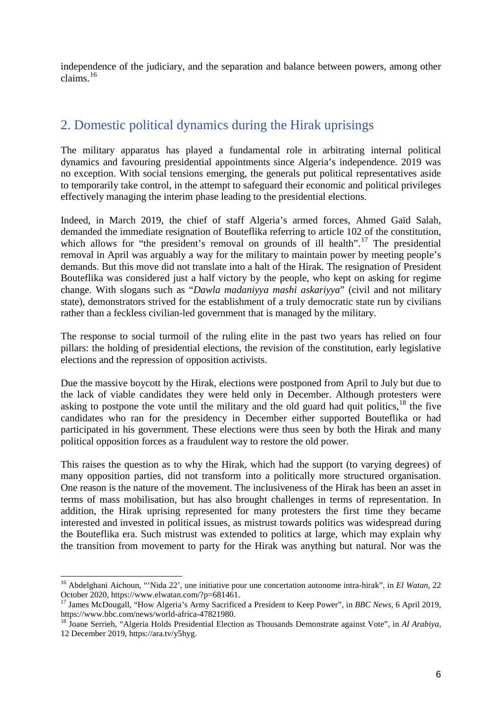independence of the judiciary, and the separation and balance between powers, among other claims. [16](#page-4-1)

## <span id="page-5-0"></span>2. Domestic political dynamics during the Hirak uprisings

The military apparatus has played a fundamental role in arbitrating internal political dynamics and favouring presidential appointments since Algeria's independence. 2019 was no exception. With social tensions emerging, the generals put political representatives aside to temporarily take control, in the attempt to safeguard their economic and political privileges effectively managing the interim phase leading to the presidential elections.

Indeed, in March 2019, the chief of staff Algeria's armed forces, Ahmed Gaïd Salah, demanded the immediate resignation of Bouteflika referring to article 102 of the constitution, which allows for "the president's removal on grounds of ill health".<sup>[17](#page-5-1)</sup> The presidential removal in April was arguably a way for the military to maintain power by meeting people's demands. But this move did not translate into a halt of the Hirak. The resignation of President Bouteflika was considered just a half victory by the people, who kept on asking for regime change. With slogans such as "*Dawla madaniyya mashi askariyya*" (civil and not military state), demonstrators strived for the establishment of a truly democratic state run by civilians rather than a feckless civilian-led government that is managed by the military.

The response to social turmoil of the ruling elite in the past two years has relied on four pillars: the holding of presidential elections, the revision of the constitution, early legislative elections and the repression of opposition activists.

Due the massive boycott by the Hirak, elections were postponed from April to July but due to the lack of viable candidates they were held only in December. Although protesters were asking to postpone the vote until the military and the old guard had quit politics,<sup>[18](#page-5-2)</sup> the five candidates who ran for the presidency in December either supported Bouteflika or had participated in his government. These elections were thus seen by both the Hirak and many political opposition forces as a fraudulent way to restore the old power.

This raises the question as to why the Hirak, which had the support (to varying degrees) of many opposition parties, did not transform into a politically more structured organisation. One reason is the nature of the movement. The inclusiveness of the Hirak has been an asset in terms of mass mobilisation, but has also brought challenges in terms of representation. In addition, the Hirak uprising represented for many protesters the first time they became interested and invested in political issues, as mistrust towards politics was widespread during the Bouteflika era. Such mistrust was extended to politics at large, which may explain why the transition from movement to party for the Hirak was anything but natural. Nor was the

<span id="page-5-3"></span><sup>16</sup> Abdelghani Aichoun, "'Nida 22', une initiative pour une concertation autonome intra-hirak", in *El Watan*, 22 October 2020, https://www.elwatan.com/?p=681461.

<span id="page-5-1"></span><sup>&</sup>lt;sup>17</sup> James McDougall, "How Algeria's Army Sacrificed a President to Keep Power", in *BBC News*, 6 April 2019, https://www.bbc.com/news/world-africa-47821980.

<span id="page-5-2"></span><sup>&</sup>lt;sup>18</sup> Joane Serrieh, "Algeria Holds Presidential Election as Thousands Demonstrate against Vote", in *Al Arabiya*, 12 December 2019, https://ara.tv/y5hyg.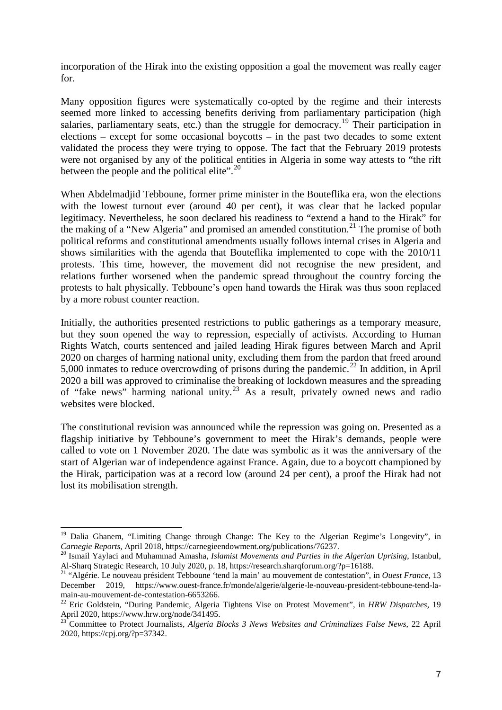incorporation of the Hirak into the existing opposition a goal the movement was really eager for.

Many opposition figures were systematically co-opted by the regime and their interests seemed more linked to accessing benefits deriving from parliamentary participation (high salaries, parliamentary seats, etc.) than the struggle for democracy.<sup>[19](#page-5-3)</sup> Their participation in elections – except for some occasional boycotts – in the past two decades to some extent validated the process they were trying to oppose. The fact that the February 2019 protests were not organised by any of the political entities in Algeria in some way attests to "the rift between the people and the political elite".<sup>[20](#page-6-0)</sup>

When Abdelmadjid Tebboune, former prime minister in the Bouteflika era, won the elections with the lowest turnout ever (around 40 per cent), it was clear that he lacked popular legitimacy. Nevertheless, he soon declared his readiness to "extend a hand to the Hirak" for the making of a "New Algeria" and promised an amended constitution.<sup>[21](#page-6-1)</sup> The promise of both political reforms and constitutional amendments usually follows internal crises in Algeria and shows similarities with the agenda that Bouteflika implemented to cope with the 2010/11 protests. This time, however, the movement did not recognise the new president, and relations further worsened when the pandemic spread throughout the country forcing the protests to halt physically. Tebboune's open hand towards the Hirak was thus soon replaced by a more robust counter reaction.

Initially, the authorities presented restrictions to public gatherings as a temporary measure, but they soon opened the way to repression, especially of activists. According to Human Rights Watch, courts sentenced and jailed leading Hirak figures between March and April 2020 on charges of harming national unity, excluding them from the pardon that freed around 5,000 inmates to reduce overcrowding of prisons during the pandemic.<sup>[22](#page-6-2)</sup> In addition, in April 2020 a bill was approved to criminalise the breaking of lockdown measures and the spreading of "fake news" harming national unity. [23](#page-6-3) As a result, privately owned news and radio websites were blocked.

<span id="page-6-4"></span>The constitutional revision was announced while the repression was going on. Presented as a flagship initiative by Tebboune's government to meet the Hirak's demands, people were called to vote on 1 November 2020. The date was symbolic as it was the anniversary of the start of Algerian war of independence against France. Again, due to a boycott championed by the Hirak, participation was at a record low (around 24 per cent), a proof the Hirak had not lost its mobilisation strength.

<sup>&</sup>lt;sup>19</sup> Dalia Ghanem, "Limiting Change through Change: The Key to the Algerian Regime's Longevity", in *Carnegie Reports*, April 2018, https://carnegieendowment.org/publications/76237.<br><sup>20</sup> Ismail Yaylaci and Muhammad Amasha, *Islamist Movements and Parties in the Algerian Uprising*, Istanbul,

<span id="page-6-0"></span>Al-Sharq Strategic Research, 10 July 2020, p. 18, https://research.sharqforum.org/?p=16188. <sup>21</sup> "Algérie. Le nouveau président Tebboune 'tend la main' au mouvement de contestation", in *Ouest France*, 13

<span id="page-6-1"></span>December 2019, https://www.ouest-france.fr/monde/algerie/algerie-le-nouveau-president-tebboune-tend-la-

<span id="page-6-2"></span><sup>&</sup>lt;sup>22</sup> Eric Goldstein, "During Pandemic, Algeria Tightens Vise on Protest Movement", in *HRW Dispatches*, 19 April 2020, https://www.hrw.org/node/341495.

<span id="page-6-3"></span><sup>23</sup> Committee to Protect Journalists, *Algeria Blocks 3 News Websites and Criminalizes False News*, 22 April 2020, https://cpj.org/?p=37342.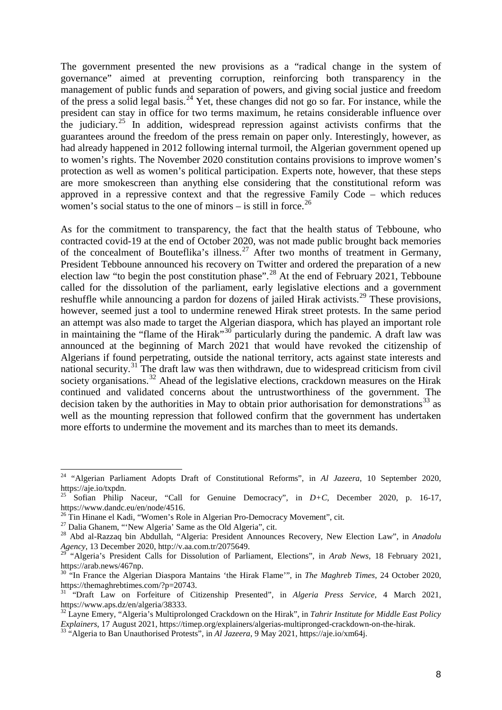The government presented the new provisions as a "radical change in the system of governance" aimed at preventing corruption, reinforcing both transparency in the management of public funds and separation of powers, and giving social justice and freedom of the press a solid legal basis. [24](#page-6-4) Yet, these changes did not go so far. For instance, while the president can stay in office for two terms maximum, he retains considerable influence over the judiciary.<sup>[25](#page-7-0)</sup> In addition, widespread repression against activists confirms that the guarantees around the freedom of the press remain on paper only. Interestingly, however, as had already happened in 2012 following internal turmoil, the Algerian government opened up to women's rights. The November 2020 constitution contains provisions to improve women's protection as well as women's political participation. Experts note, however, that these steps are more smokescreen than anything else considering that the constitutional reform was approved in a repressive context and that the regressive Family Code – which reduces women's social status to the one of minors  $-$  is still in force.<sup>[26](#page-7-1)</sup>

As for the commitment to transparency, the fact that the health status of Tebboune, who contracted covid-19 at the end of October 2020, was not made public brought back memories of the concealment of Bouteflika's illness.<sup>[27](#page-7-2)</sup> After two months of treatment in Germany, President Tebboune announced his recovery on Twitter and ordered the preparation of a new election law "to begin the post constitution phase".<sup>[28](#page-7-3)</sup> At the end of February 2021, Tebboune called for the dissolution of the parliament, early legislative elections and a government reshuffle while announcing a pardon for dozens of jailed Hirak activists.<sup>[29](#page-7-4)</sup> These provisions, however, seemed just a tool to undermine renewed Hirak street protests. In the same period an attempt was also made to target the Algerian diaspora, which has played an important role in maintaining the "flame of the Hirak"[30](#page-7-5) particularly during the pandemic. A draft law was announced at the beginning of March 2021 that would have revoked the citizenship of Algerians if found perpetrating, outside the national territory, acts against state interests and national security.<sup>[31](#page-7-6)</sup> The draft law was then withdrawn, due to widespread criticism from civil society organisations.<sup>[32](#page-7-7)</sup> Ahead of the legislative elections, crackdown measures on the Hirak continued and validated concerns about the untrustworthiness of the government. The decision taken by the authorities in May to obtain prior authorisation for demonstrations<sup>[33](#page-7-8)</sup> as well as the mounting repression that followed confirm that the government has undertaken more efforts to undermine the movement and its marches than to meet its demands.

<sup>24</sup> "Algerian Parliament Adopts Draft of Constitutional Reforms", in *Al Jazeera*, 10 September 2020, https://aje.io/txpdn.

<span id="page-7-0"></span><sup>25</sup> Sofian Philip Naceur, "Call for Genuine Democracy", in *D+C*, December 2020, p. 16-17, https://www.dandc.eu/en/node/4516.<br><sup>26</sup> Tin Hinane el Kadi, "Women's Role in Algerian Pro-Democracy Movement", cit.

<span id="page-7-3"></span><span id="page-7-2"></span><span id="page-7-1"></span><sup>&</sup>lt;sup>27</sup> Dalia Ghanem, "'New Algeria' Same as the Old Algeria'', cit.<br><sup>28</sup> Abd al-Razzaq bin Abdullah, "Algeria: President Announces Recovery, New Election Law", in Anadolu *Agency*, 13 December 2020, http://v.aa.com.tr/2075649.

<span id="page-7-4"></span><sup>29</sup> "Algeria's President Calls for Dissolution of Parliament, Elections", in *Arab News*, 18 February 2021, https://arab.news/467np.

<span id="page-7-5"></span><sup>&</sup>lt;sup>30</sup> "In France the Algerian Diaspora Mantains 'the Hirak Flame'", in *The Maghreb Times*, 24 October 2020, https://themaghrebtimes.com/?p=20743.

<span id="page-7-6"></span><sup>31</sup> "Draft Law on Forfeiture of Citizenship Presented", in *Algeria Press Service*, 4 March 2021, https://www.aps.dz/en/algeria/38333.

<span id="page-7-7"></span><sup>&</sup>lt;sup>32</sup> Layne Emery, "Algeria's Multiprolonged Crackdown on the Hirak", in *Tahrir Institute for Middle East Policy*<br>Explainers, 17 August 2021, https://timep.org/explainers/algerias-multipronged-crackdown-on-the-hirak.

<span id="page-7-8"></span><sup>&</sup>lt;sup>33</sup> "Algeria to Ban Unauthorised Protests", in *Al Jazeera*, 9 May 2021, https://aje.io/xm64j.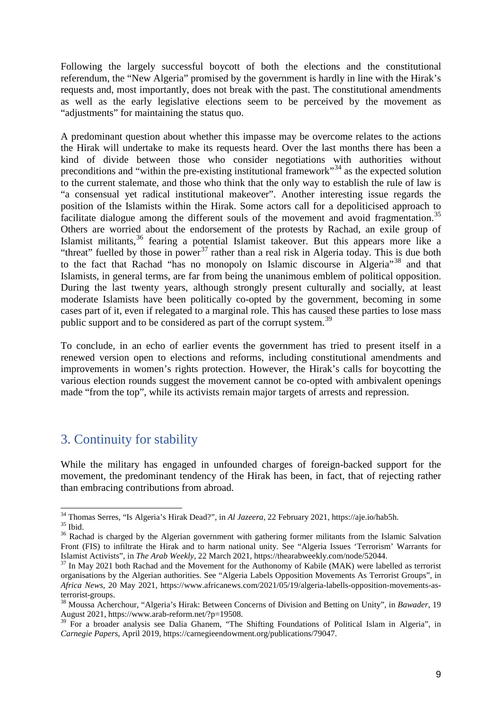Following the largely successful boycott of both the elections and the constitutional referendum, the "New Algeria" promised by the government is hardly in line with the Hirak's requests and, most importantly, does not break with the past. The constitutional amendments as well as the early legislative elections seem to be perceived by the movement as "adjustments" for maintaining the status quo.

A predominant question about whether this impasse may be overcome relates to the actions the Hirak will undertake to make its requests heard. Over the last months there has been a kind of divide between those who consider negotiations with authorities without preconditions and "within the pre-existing institutional framework"<sup>[34](#page-7-1)</sup> as the expected solution to the current stalemate, and those who think that the only way to establish the rule of law is "a consensual yet radical institutional makeover". Another interesting issue regards the position of the Islamists within the Hirak. Some actors call for a depoliticised approach to facilitate dialogue among the different souls of the movement and avoid fragmentation.<sup>[35](#page-8-1)</sup> Others are worried about the endorsement of the protests by Rachad, an exile group of Islamist militants,<sup>[36](#page-8-2)</sup> fearing a potential Islamist takeover. But this appears more like a "threat" fuelled by those in power<sup>[37](#page-8-3)</sup> rather than a real risk in Algeria today. This is due both to the fact that Rachad "has no monopoly on Islamic discourse in Algeria"<sup>[38](#page-8-4)</sup> and that Islamists, in general terms, are far from being the unanimous emblem of political opposition. During the last twenty years, although strongly present culturally and socially, at least moderate Islamists have been politically co-opted by the government, becoming in some cases part of it, even if relegated to a marginal role. This has caused these parties to lose mass public support and to be considered as part of the corrupt system.<sup>[39](#page-8-5)</sup>

To conclude, in an echo of earlier events the government has tried to present itself in a renewed version open to elections and reforms, including constitutional amendments and improvements in women's rights protection. However, the Hirak's calls for boycotting the various election rounds suggest the movement cannot be co-opted with ambivalent openings made "from the top", while its activists remain major targets of arrests and repression.

#### <span id="page-8-0"></span>3. Continuity for stability

While the military has engaged in unfounded charges of foreign-backed support for the movement, the predominant tendency of the Hirak has been, in fact, that of rejecting rather than embracing contributions from abroad.

<span id="page-8-2"></span><span id="page-8-1"></span>

<span id="page-8-6"></span><sup>&</sup>lt;sup>34</sup> Thomas Serres, "Is Algeria's Hirak Dead?", in *Al Jazeera*, 22 February 2021, https://aje.io/hab5h.<br><sup>35</sup> Ibid. <sup>36</sup> Rachad is charged by the Algerian government with gathering former militants from the Islamic Salvati Front (FIS) to infiltrate the Hirak and to harm national unity. See "Algeria Issues 'Terrorism' Warrants for Islamist Activists", in *The Arab Weekly*, 22 March 2021, https://thearabweekly.com/node/52044. <sup>37</sup> In May 2021 both Rachad and the Movement for the Authonomy of Kabile (MAK) were labelled as terrorist

<span id="page-8-3"></span>organisations by the Algerian authorities. See "Algeria Labels Opposition Movements As Terrorist Groups", in *Africa News*, 20 May 2021, https://www.africanews.com/2021/05/19/algeria-labells-opposition-movements-as-

<span id="page-8-4"></span><sup>&</sup>lt;sup>38</sup> Moussa Acherchour, "Algeria's Hirak: Between Concerns of Division and Betting on Unity", in *Bawader*, 19<br>August 2021, https://www.arab-reform.net/?p=19508.

<span id="page-8-5"></span> $\frac{39}{29}$  For a broader analysis see Dalia Ghanem, "The Shifting Foundations of Political Islam in Algeria", in *Carnegie Papers*, April 2019, https://carnegieendowment.org/publications/79047.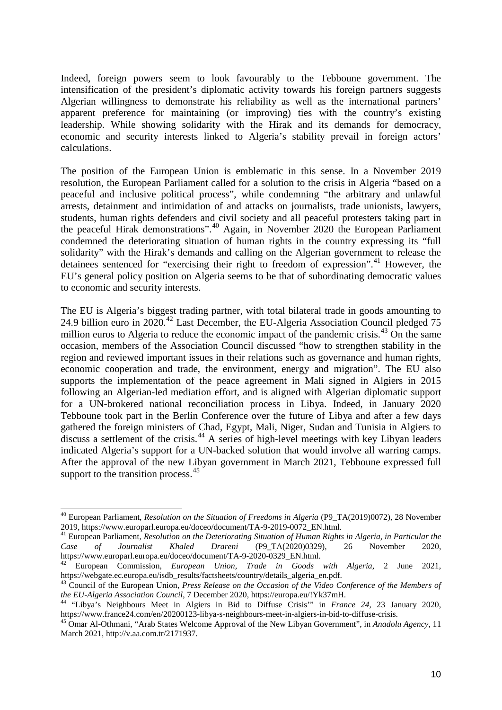Indeed, foreign powers seem to look favourably to the Tebboune government. The intensification of the president's diplomatic activity towards his foreign partners suggests Algerian willingness to demonstrate his reliability as well as the international partners' apparent preference for maintaining (or improving) ties with the country's existing leadership. While showing solidarity with the Hirak and its demands for democracy, economic and security interests linked to Algeria's stability prevail in foreign actors' calculations.

The position of the European Union is emblematic in this sense. In a November 2019 resolution, the European Parliament called for a solution to the crisis in Algeria "based on a peaceful and inclusive political process", while condemning "the arbitrary and unlawful arrests, detainment and intimidation of and attacks on journalists, trade unionists, lawyers, students, human rights defenders and civil society and all peaceful protesters taking part in the peaceful Hirak demonstrations". [40](#page-8-6) Again, in November 2020 the European Parliament condemned the deteriorating situation of human rights in the country expressing its "full solidarity" with the Hirak's demands and calling on the Algerian government to release the detainees sentenced for "exercising their right to freedom of expression". [41](#page-9-0) However, the EU's general policy position on Algeria seems to be that of subordinating democratic values to economic and security interests.

The EU is Algeria's biggest trading partner, with total bilateral trade in goods amounting to 24.9 billion euro in 2020. [42](#page-9-1) Last December, the EU-Algeria Association Council pledged 75 million euros to Algeria to reduce the economic impact of the pandemic crisis.<sup>[43](#page-9-2)</sup> On the same occasion, members of the Association Council discussed "how to strengthen stability in the region and reviewed important issues in their relations such as governance and human rights, economic cooperation and trade, the environment, energy and migration". The EU also supports the implementation of the peace agreement in Mali signed in Algiers in 2015 following an Algerian-led mediation effort, and is aligned with Algerian diplomatic support for a UN-brokered national reconciliation process in Libya. Indeed, in January 2020 Tebboune took part in the Berlin Conference over the future of Libya and after a few days gathered the foreign ministers of Chad, Egypt, Mali, Niger, Sudan and Tunisia in Algiers to discuss a settlement of the crisis.<sup>[44](#page-9-3)</sup> A series of high-level meetings with key Libyan leaders indicated Algeria's support for a UN-backed solution that would involve all warring camps. After the approval of the new Libyan government in March 2021, Tebboune expressed full support to the transition process.<sup>[45](#page-9-4)</sup>

<span id="page-9-5"></span><sup>40</sup> European Parliament, *Resolution on the Situation of Freedoms in Algeria* (P9\_TA(2019)0072), 28 November 2019, https://www.europarl.europa.eu/doceo/document/TA-9-2019-0072\_EN.html. <sup>41</sup> European Parliament, *Resolution on the Deteriorating Situation of Human Rights in Algeria, in Particular the* 

<span id="page-9-0"></span>*Case of Journalist Khaled Drareni* (P9\_TA(2020)0329), 26 November 2020, https://www.europarl.europa.eu/doceo/document/TA-9-2020-0329\_EN.html. <sup>42</sup> European Commission, *European Union, Trade in Goods with Algeria*, 2 June 2021,

<span id="page-9-1"></span>https://webgate.ec.europa.eu/isdb\_results/factsheets/country/details\_algeria\_en.pdf.

<span id="page-9-2"></span><sup>&</sup>lt;sup>43</sup> Council of the European Union, *Press Release on the Occasion of the Video Conference of the Members of the EU-Algeria Association Council, 7 December 2020, https://europa.eu/!Yk37mH.* 

<span id="page-9-3"></span><sup>&</sup>lt;sup>44</sup> "Libya's Neighbours Meet in Algiers in Bid to Diffuse Crisis'" in *France 24*, 23 January 2020, https://www.france24.com/en/20200123-libya-s-neighbours-meet-in-algiers-in-bid-to-diffuse-crisis.

<span id="page-9-4"></span><sup>&</sup>lt;sup>45</sup> Omar Al-Othmani, "Arab States Welcome Approval of the New Libyan Government", in *Anadolu Agency*, 11 March 2021, http://v.aa.com.tr/2171937.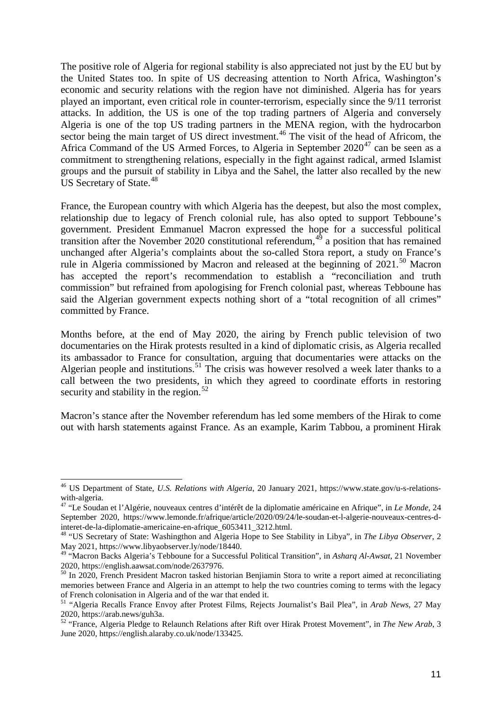The positive role of Algeria for regional stability is also appreciated not just by the EU but by the United States too. In spite of US decreasing attention to North Africa, Washington's economic and security relations with the region have not diminished. Algeria has for years played an important, even critical role in counter-terrorism, especially since the 9/11 terrorist attacks. In addition, the US is one of the top trading partners of Algeria and conversely Algeria is one of the top US trading partners in the MENA region, with the hydrocarbon sector being the main target of US direct investment.<sup>[46](#page-9-5)</sup> The visit of the head of Africom, the Africa Command of the US Armed Forces, to Algeria in September  $2020^{47}$  $2020^{47}$  $2020^{47}$  can be seen as a commitment to strengthening relations, especially in the fight against radical, armed Islamist groups and the pursuit of stability in Libya and the Sahel, the latter also recalled by the new US Secretary of State.<sup>[48](#page-10-1)</sup>

France, the European country with which Algeria has the deepest, but also the most complex, relationship due to legacy of French colonial rule, has also opted to support Tebboune's government. President Emmanuel Macron expressed the hope for a successful political transition after the November 2020 constitutional referendum,  $4^{\circ}$  a position that has remained unchanged after Algeria's complaints about the so-called Stora report, a study on France's rule in Algeria commissioned by Macron and released at the beginning of 2021.<sup>[50](#page-10-3)</sup> Macron has accepted the report's recommendation to establish a "reconciliation and truth commission" but refrained from apologising for French colonial past, whereas Tebboune has said the Algerian government expects nothing short of a "total recognition of all crimes" committed by France.

Months before, at the end of May 2020, the airing by French public television of two documentaries on the Hirak protests resulted in a kind of diplomatic crisis, as Algeria recalled its ambassador to France for consultation, arguing that documentaries were attacks on the Algerian people and institutions.<sup>[51](#page-10-4)</sup> The crisis was however resolved a week later thanks to a call between the two presidents, in which they agreed to coordinate efforts in restoring security and stability in the region.<sup>[52](#page-10-5)</sup>

Macron's stance after the November referendum has led some members of the Hirak to come out with harsh statements against France. As an example, Karim Tabbou, a prominent Hirak

<sup>46</sup> US Department of State, *U.S. Relations with Algeria*, 20 January 2021, https://www.state.gov/u-s-relationswith-algeria. <sup>47</sup> "Le Soudan et l'Algérie, nouveaux centres d'intérêt de la diplomatie américaine en Afrique", in *Le Monde*, 24

<span id="page-10-0"></span>September 2020, https://www.lemonde.fr/afrique/article/2020/09/24/le-soudan-et-l-algerie-nouveaux-centres-dinteret-de-la-diplomatie-americaine-en-afrique\_6053411\_3212.html. <sup>48</sup> "US Secretary of State: Washingthon and Algeria Hope to See Stability in Libya", in *The Libya Observer*, 2

<span id="page-10-1"></span>May 2021, https://www.libyaobserver.ly/node/18440.

<span id="page-10-2"></span><sup>49</sup> "Macron Backs Algeria's Tebboune for a Successful Political Transition", in *Asharq Al-Awsat*, 21 November 2020, https://english.aawsat.com/node/2637976.

<span id="page-10-3"></span><sup>&</sup>lt;sup>50</sup> In 2020, French President Macron tasked historian Benjiamin Stora to write a report aimed at reconciliating memories between France and Algeria in an attempt to help the two countries coming to terms with the legacy of French colonisation in Algeria and of the war that ended it.

<span id="page-10-4"></span><sup>&</sup>lt;sup>51</sup> "Algeria Recalls France Envoy after Protest Films, Rejects Journalist's Bail Plea", in *Arab News*, 27 May 2020, https://arab.news/guh3a.

<span id="page-10-5"></span><sup>&</sup>lt;sup>52</sup> "France, Algeria Pledge to Relaunch Relations after Rift over Hirak Protest Movement", in *The New Arab*, 3 June 2020, https://english.alaraby.co.uk/node/133425.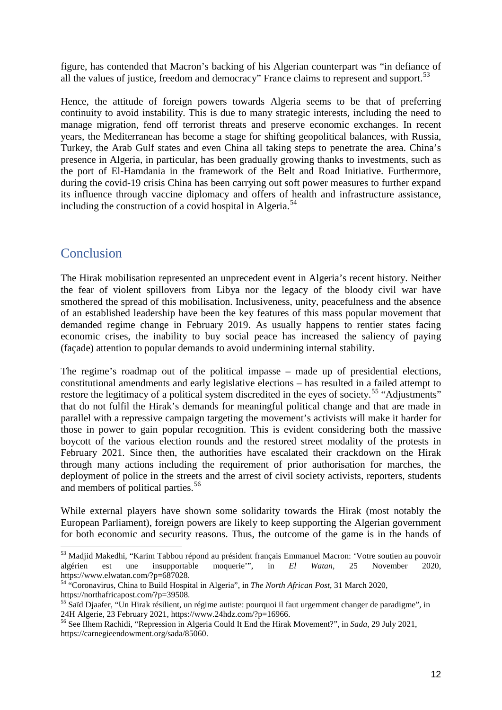figure, has contended that Macron's backing of his Algerian counterpart was "in defiance of all the values of justice, freedom and democracy" France claims to represent and support.<sup>[53](#page-10-2)</sup>

Hence, the attitude of foreign powers towards Algeria seems to be that of preferring continuity to avoid instability. This is due to many strategic interests, including the need to manage migration, fend off terrorist threats and preserve economic exchanges. In recent years, the Mediterranean has become a stage for shifting geopolitical balances, with Russia, Turkey, the Arab Gulf states and even China all taking steps to penetrate the area. China's presence in Algeria, in particular, has been gradually growing thanks to investments, such as the port of El-Hamdania in the framework of the Belt and Road Initiative. Furthermore, during the covid-19 crisis China has been carrying out soft power measures to further expand its influence through vaccine diplomacy and offers of health and infrastructure assistance, including the construction of a covid hospital in Algeria.<sup>[54](#page-11-1)</sup>

### <span id="page-11-0"></span>Conclusion

The Hirak mobilisation represented an unprecedent event in Algeria's recent history. Neither the fear of violent spillovers from Libya nor the legacy of the bloody civil war have smothered the spread of this mobilisation. Inclusiveness, unity, peacefulness and the absence of an established leadership have been the key features of this mass popular movement that demanded regime change in February 2019. As usually happens to rentier states facing economic crises, the inability to buy social peace has increased the saliency of paying (façade) attention to popular demands to avoid undermining internal stability.

The regime's roadmap out of the political impasse – made up of presidential elections, constitutional amendments and early legislative elections – has resulted in a failed attempt to restore the legitimacy of a political system discredited in the eyes of society.<sup>[55](#page-11-2)</sup> "Adjustments" that do not fulfil the Hirak's demands for meaningful political change and that are made in parallel with a repressive campaign targeting the movement's activists will make it harder for those in power to gain popular recognition. This is evident considering both the massive boycott of the various election rounds and the restored street modality of the protests in February 2021. Since then, the authorities have escalated their crackdown on the Hirak through many actions including the requirement of prior authorisation for marches, the deployment of police in the streets and the arrest of civil society activists, reporters, students and members of political parties. [56](#page-11-3)

While external players have shown some solidarity towards the Hirak (most notably the European Parliament), foreign powers are likely to keep supporting the Algerian government for both economic and security reasons. Thus, the outcome of the game is in the hands of

<sup>53</sup> Madjid Makedhi, "Karim Tabbou répond au président français Emmanuel Macron: 'Votre soutien au pouvoir algérien est une insupportable moquerie'", in *El Watan*, 25 November 2020, https://www.elwatan.com/?p=687028.

<span id="page-11-1"></span><sup>54</sup> "Coronavirus, China to Build Hospital in Algeria", in *The North African Post*, 31 March 2020, https://northafricapost.com/?p=39508.

<span id="page-11-2"></span><sup>&</sup>lt;sup>55</sup> Saïd Djaafer, "Un Hirak résilient, un régime autiste: pourquoi il faut urgemment changer de paradigme", in 24H Algerie, 23 February 2021, https://www.24hdz.com/?p=16966.

<span id="page-11-3"></span><sup>&</sup>lt;sup>56</sup> See Ilhem Rachidi, "Repression in Algeria Could It End the Hirak Movement?", in *Sada*, 29 July 2021, https://carnegieendowment.org/sada/85060.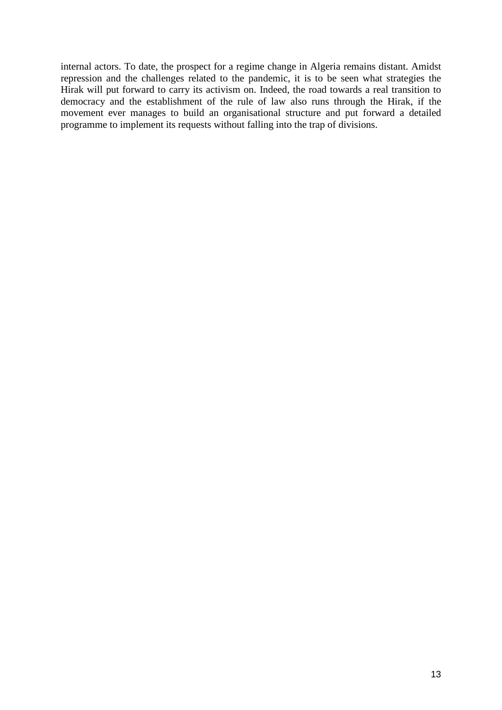internal actors. To date, the prospect for a regime change in Algeria remains distant. Amidst repression and the challenges related to the pandemic, it is to be seen what strategies the Hirak will put forward to carry its activism on. Indeed, the road towards a real transition to democracy and the establishment of the rule of law also runs through the Hirak, if the movement ever manages to build an organisational structure and put forward a detailed programme to implement its requests without falling into the trap of divisions.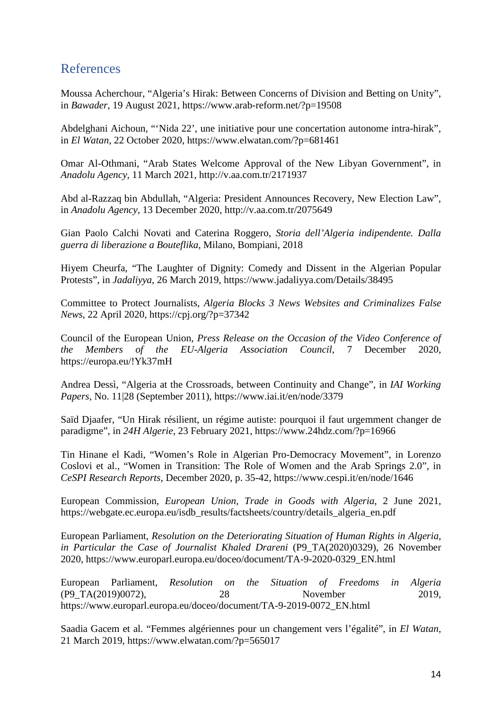#### <span id="page-13-0"></span>References

Moussa Acherchour, "Algeria's Hirak: Between Concerns of Division and Betting on Unity", in *Bawader*, 19 August 2021, https://www.arab-reform.net/?p=19508

Abdelghani Aichoun, "'Nida 22', une initiative pour une concertation autonome intra-hirak", in *El Watan*, 22 October 2020, https://www.elwatan.com/?p=681461

Omar Al-Othmani, "Arab States Welcome Approval of the New Libyan Government", in *Anadolu Agency*, 11 March 2021, http://v.aa.com.tr/2171937

Abd al-Razzaq bin Abdullah, "Algeria: President Announces Recovery, New Election Law", in *Anadolu Agency*, 13 December 2020, http://v.aa.com.tr/2075649

Gian Paolo Calchi Novati and Caterina Roggero, *Storia dell'Algeria indipendente. Dalla guerra di liberazione a Bouteflika*, Milano, Bompiani, 2018

Hiyem Cheurfa, "The Laughter of Dignity: Comedy and Dissent in the Algerian Popular Protests", in *Jadaliyya*, 26 March 2019, https://www.jadaliyya.com/Details/38495

Committee to Protect Journalists, *Algeria Blocks 3 News Websites and Criminalizes False News*, 22 April 2020, https://cpj.org/?p=37342

Council of the European Union, *Press Release on the Occasion of the Video Conference of the Members of the EU-Algeria Association Council*, 7 December 2020, https://europa.eu/!Yk37mH

Andrea Dessì, "Algeria at the Crossroads, between Continuity and Change", in *IAI Working Papers*, No. 11|28 (September 2011), https://www.iai.it/en/node/3379

Saïd Djaafer, "Un Hirak résilient, un régime autiste: pourquoi il faut urgemment changer de paradigme", in *24H Algerie*, 23 February 2021, https://www.24hdz.com/?p=16966

Tin Hinane el Kadi, "Women's Role in Algerian Pro-Democracy Movement", in Lorenzo Coslovi et al., "Women in Transition: The Role of Women and the Arab Springs 2.0", in *CeSPI Research Reports*, December 2020, p. 35-42, https://www.cespi.it/en/node/1646

European Commission, *European Union, Trade in Goods with Algeria*, 2 June 2021, https://webgate.ec.europa.eu/isdb\_results/factsheets/country/details\_algeria\_en.pdf

European Parliament, *Resolution on the Deteriorating Situation of Human Rights in Algeria, in Particular the Case of Journalist Khaled Drareni* (P9\_TA(2020)0329), 26 November 2020, https://www.europarl.europa.eu/doceo/document/TA-9-2020-0329\_EN.html

European Parliament, *Resolution on the Situation of Freedoms in Algeria* (P9\_TA(2019)0072), 28 November 2019, https://www.europarl.europa.eu/doceo/document/TA-9-2019-0072\_EN.html

Saadia Gacem et al. "Femmes algériennes pour un changement vers l'égalité", in *El Watan*, 21 March 2019, https://www.elwatan.com/?p=565017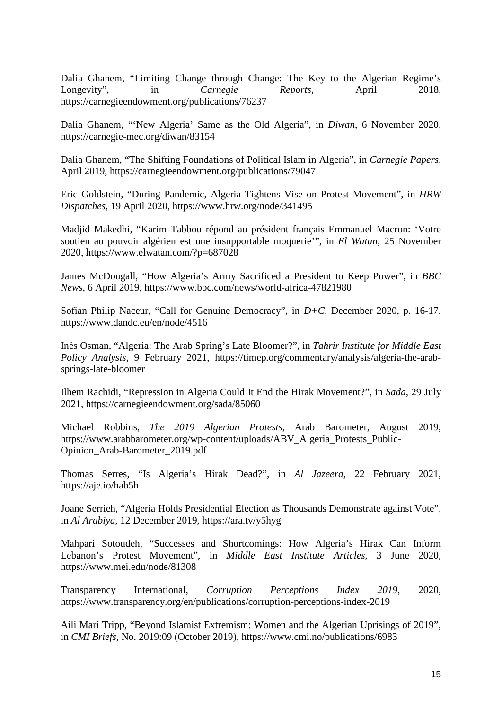Dalia Ghanem, "Limiting Change through Change: The Key to the Algerian Regime's Longevity", in *Carnegie Reports*, April 2018, https://carnegieendowment.org/publications/76237

Dalia Ghanem, "'New Algeria' Same as the Old Algeria", in *Diwan*, 6 November 2020, https://carnegie-mec.org/diwan/83154

Dalia Ghanem, "The Shifting Foundations of Political Islam in Algeria", in *Carnegie Papers*, April 2019, https://carnegieendowment.org/publications/79047

Eric Goldstein, "During Pandemic, Algeria Tightens Vise on Protest Movement", in *HRW Dispatches*, 19 April 2020, https://www.hrw.org/node/341495

Madjid Makedhi, "Karim Tabbou répond au président français Emmanuel Macron: 'Votre soutien au pouvoir algérien est une insupportable moquerie'", in *El Watan*, 25 November 2020, https://www.elwatan.com/?p=687028

James McDougall, "How Algeria's Army Sacrificed a President to Keep Power", in *BBC News*, 6 April 2019, https://www.bbc.com/news/world-africa-47821980

Sofian Philip Naceur, "Call for Genuine Democracy", in *D+C*, December 2020, p. 16-17, https://www.dandc.eu/en/node/4516

Inès Osman, "Algeria: The Arab Spring's Late Bloomer?", in *Tahrir Institute for Middle East Policy Analysis*, 9 February 2021, https://timep.org/commentary/analysis/algeria-the-arabsprings-late-bloomer

Ilhem Rachidi, "Repression in Algeria Could It End the Hirak Movement?", in *Sada*, 29 July 2021, https://carnegieendowment.org/sada/85060

Michael Robbins, *The 2019 Algerian Protests*, Arab Barometer, August 2019, https://www.arabbarometer.org/wp-content/uploads/ABV\_Algeria\_Protests\_Public-Opinion\_Arab-Barometer\_2019.pdf

Thomas Serres, "Is Algeria's Hirak Dead?", in *Al Jazeera*, 22 February 2021, https://aje.io/hab5h

Joane Serrieh, "Algeria Holds Presidential Election as Thousands Demonstrate against Vote", in *Al Arabiya*, 12 December 2019, https://ara.tv/y5hyg

Mahpari Sotoudeh, "Successes and Shortcomings: How Algeria's Hirak Can Inform Lebanon's Protest Movement", in *Middle East Institute Articles*, 3 June 2020, https://www.mei.edu/node/81308

Transparency International, *Corruption Perceptions Index 2019*, 2020, https://www.transparency.org/en/publications/corruption-perceptions-index-2019

Aili Mari Tripp, "Beyond Islamist Extremism: Women and the Algerian Uprisings of 2019", in *CMI Briefs*, No. 2019:09 (October 2019), https://www.cmi.no/publications/6983